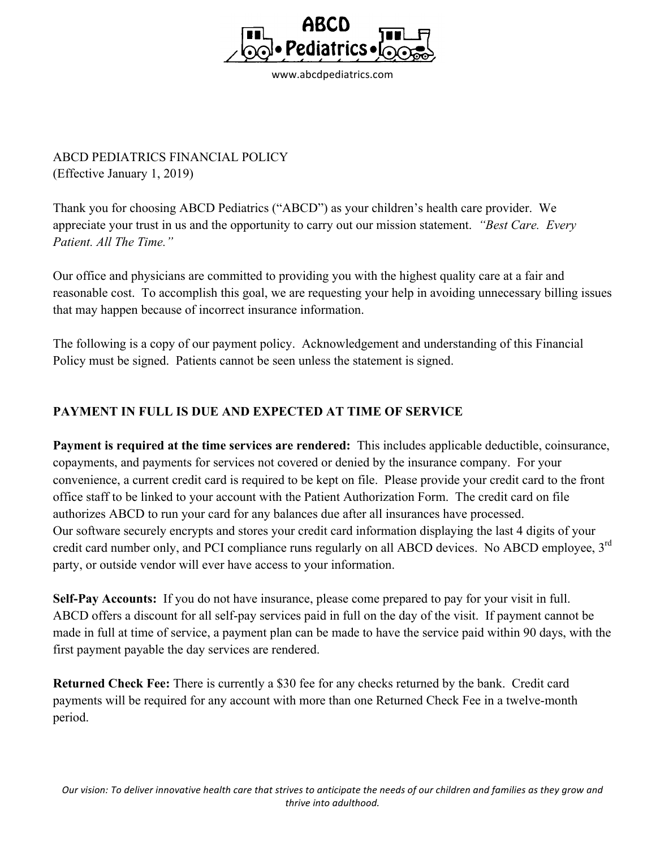

ABCD PEDIATRICS FINANCIAL POLICY (Effective January 1, 2019)

Thank you for choosing ABCD Pediatrics ("ABCD") as your children's health care provider. We appreciate your trust in us and the opportunity to carry out our mission statement. *"Best Care. Every Patient. All The Time."*

Our office and physicians are committed to providing you with the highest quality care at a fair and reasonable cost. To accomplish this goal, we are requesting your help in avoiding unnecessary billing issues that may happen because of incorrect insurance information.

The following is a copy of our payment policy. Acknowledgement and understanding of this Financial Policy must be signed. Patients cannot be seen unless the statement is signed.

## **PAYMENT IN FULL IS DUE AND EXPECTED AT TIME OF SERVICE**

**Payment is required at the time services are rendered:** This includes applicable deductible, coinsurance, copayments, and payments for services not covered or denied by the insurance company. For your convenience, a current credit card is required to be kept on file. Please provide your credit card to the front office staff to be linked to your account with the Patient Authorization Form. The credit card on file authorizes ABCD to run your card for any balances due after all insurances have processed. Our software securely encrypts and stores your credit card information displaying the last 4 digits of your credit card number only, and PCI compliance runs regularly on all ABCD devices. No ABCD employee, 3<sup>rd</sup> party, or outside vendor will ever have access to your information.

**Self-Pay Accounts:** If you do not have insurance, please come prepared to pay for your visit in full. ABCD offers a discount for all self-pay services paid in full on the day of the visit. If payment cannot be made in full at time of service, a payment plan can be made to have the service paid within 90 days, with the first payment payable the day services are rendered.

**Returned Check Fee:** There is currently a \$30 fee for any checks returned by the bank. Credit card payments will be required for any account with more than one Returned Check Fee in a twelve-month period.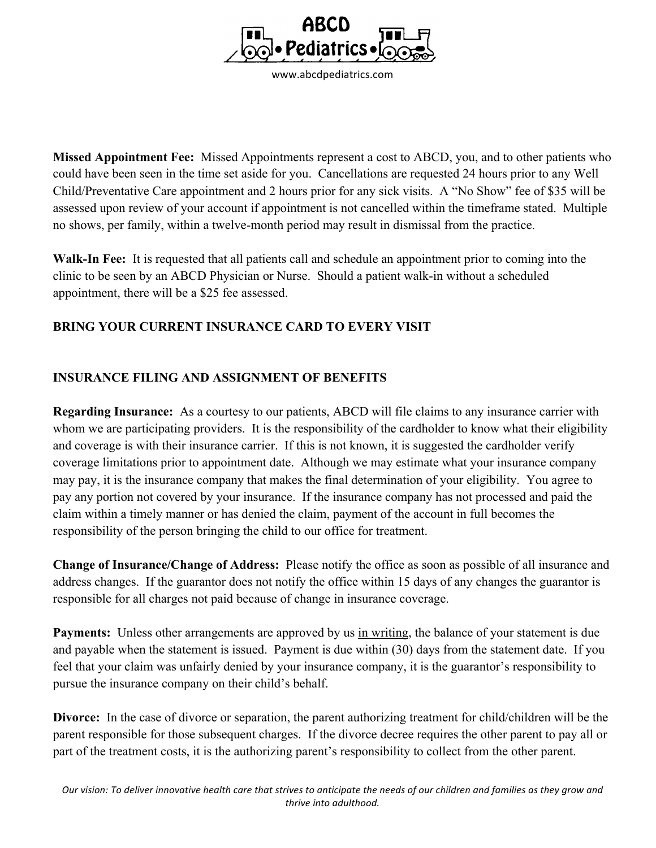

**Missed Appointment Fee:** Missed Appointments represent a cost to ABCD, you, and to other patients who could have been seen in the time set aside for you. Cancellations are requested 24 hours prior to any Well Child/Preventative Care appointment and 2 hours prior for any sick visits. A "No Show" fee of \$35 will be assessed upon review of your account if appointment is not cancelled within the timeframe stated. Multiple no shows, per family, within a twelve-month period may result in dismissal from the practice.

**Walk-In Fee:** It is requested that all patients call and schedule an appointment prior to coming into the clinic to be seen by an ABCD Physician or Nurse. Should a patient walk-in without a scheduled appointment, there will be a \$25 fee assessed.

## **BRING YOUR CURRENT INSURANCE CARD TO EVERY VISIT**

## **INSURANCE FILING AND ASSIGNMENT OF BENEFITS**

**Regarding Insurance:** As a courtesy to our patients, ABCD will file claims to any insurance carrier with whom we are participating providers. It is the responsibility of the cardholder to know what their eligibility and coverage is with their insurance carrier. If this is not known, it is suggested the cardholder verify coverage limitations prior to appointment date. Although we may estimate what your insurance company may pay, it is the insurance company that makes the final determination of your eligibility. You agree to pay any portion not covered by your insurance. If the insurance company has not processed and paid the claim within a timely manner or has denied the claim, payment of the account in full becomes the responsibility of the person bringing the child to our office for treatment.

**Change of Insurance/Change of Address:** Please notify the office as soon as possible of all insurance and address changes. If the guarantor does not notify the office within 15 days of any changes the guarantor is responsible for all charges not paid because of change in insurance coverage.

**Payments:** Unless other arrangements are approved by us in writing, the balance of your statement is due and payable when the statement is issued. Payment is due within (30) days from the statement date. If you feel that your claim was unfairly denied by your insurance company, it is the guarantor's responsibility to pursue the insurance company on their child's behalf.

**Divorce:** In the case of divorce or separation, the parent authorizing treatment for child/children will be the parent responsible for those subsequent charges. If the divorce decree requires the other parent to pay all or part of the treatment costs, it is the authorizing parent's responsibility to collect from the other parent.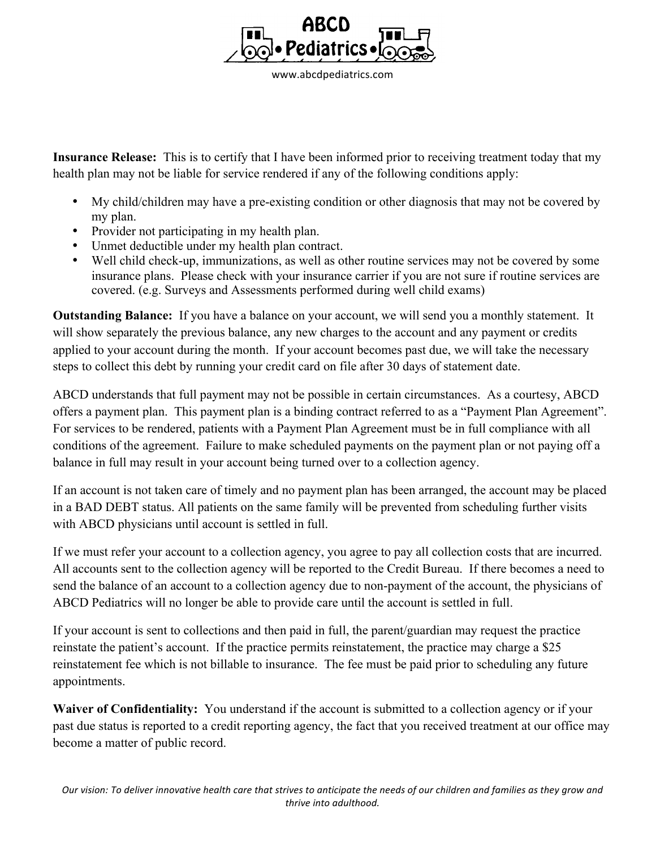

**Insurance Release:** This is to certify that I have been informed prior to receiving treatment today that my health plan may not be liable for service rendered if any of the following conditions apply:

- My child/children may have a pre-existing condition or other diagnosis that may not be covered by my plan.
- Provider not participating in my health plan.
- Unmet deductible under my health plan contract.
- Well child check-up, immunizations, as well as other routine services may not be covered by some insurance plans. Please check with your insurance carrier if you are not sure if routine services are covered. (e.g. Surveys and Assessments performed during well child exams)

**Outstanding Balance:** If you have a balance on your account, we will send you a monthly statement. It will show separately the previous balance, any new charges to the account and any payment or credits applied to your account during the month. If your account becomes past due, we will take the necessary steps to collect this debt by running your credit card on file after 30 days of statement date.

ABCD understands that full payment may not be possible in certain circumstances. As a courtesy, ABCD offers a payment plan. This payment plan is a binding contract referred to as a "Payment Plan Agreement". For services to be rendered, patients with a Payment Plan Agreement must be in full compliance with all conditions of the agreement. Failure to make scheduled payments on the payment plan or not paying off a balance in full may result in your account being turned over to a collection agency.

If an account is not taken care of timely and no payment plan has been arranged, the account may be placed in a BAD DEBT status. All patients on the same family will be prevented from scheduling further visits with ABCD physicians until account is settled in full.

If we must refer your account to a collection agency, you agree to pay all collection costs that are incurred. All accounts sent to the collection agency will be reported to the Credit Bureau. If there becomes a need to send the balance of an account to a collection agency due to non-payment of the account, the physicians of ABCD Pediatrics will no longer be able to provide care until the account is settled in full.

If your account is sent to collections and then paid in full, the parent/guardian may request the practice reinstate the patient's account. If the practice permits reinstatement, the practice may charge a \$25 reinstatement fee which is not billable to insurance. The fee must be paid prior to scheduling any future appointments.

**Waiver of Confidentiality:** You understand if the account is submitted to a collection agency or if your past due status is reported to a credit reporting agency, the fact that you received treatment at our office may become a matter of public record.